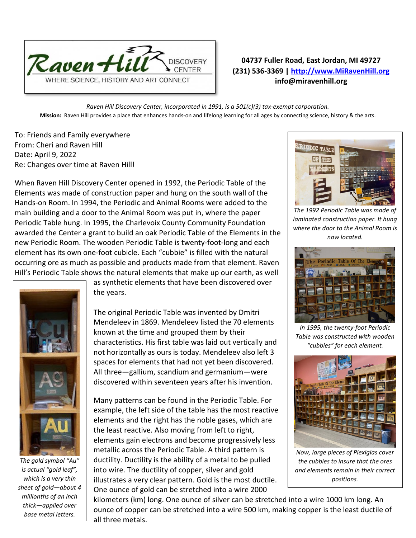

## **04737 Fuller Road, East Jordan, MI 49727 (231) 536-3369 | [http://www.MiRavenHill.org](http://www.miravenhill.org/) info@miravenhill.org**

*Raven Hill Discovery Center, incorporated in 1991, is a 501(c)(3) tax-exempt corporation.* **Mission:** Raven Hill provides a place that enhances hands-on and lifelong learning for all ages by connecting science, history & the arts.

To: Friends and Family everywhere From: Cheri and Raven Hill Date: April 9, 2022 Re: Changes over time at Raven Hill!

When Raven Hill Discovery Center opened in 1992, the Periodic Table of the Elements was made of construction paper and hung on the south wall of the Hands-on Room. In 1994, the Periodic and Animal Rooms were added to the main building and a door to the Animal Room was put in, where the paper Periodic Table hung. In 1995, the Charlevoix County Community Foundation awarded the Center a grant to build an oak Periodic Table of the Elements in the new Periodic Room. The wooden Periodic Table is twenty-foot-long and each element has its own one-foot cubicle. Each "cubbie" is filled with the natural occurring ore as much as possible and products made from that element. Raven Hill's Periodic Table shows the natural elements that make up our earth, as well



*The gold symbol "Au" is actual "gold leaf", which is a very thin sheet of gold—about 4 millionths of an inch thick—applied over base metal letters.*

as synthetic elements that have been discovered over the years.

The original Periodic Table was invented by Dmitri Mendeleev in 1869. Mendeleev listed the 70 elements known at the time and grouped them by their characteristics. His first table was laid out vertically and not horizontally as ours is today. Mendeleev also left 3 spaces for elements that had not yet been discovered. All three—gallium, scandium and germanium—were discovered within seventeen years after his invention.

Many patterns can be found in the Periodic Table. For example, the left side of the table has the most reactive elements and the right has the noble gases, which are the least reactive. Also moving from left to right, elements gain electrons and become progressively less metallic across the Periodic Table. A third pattern is ductility. Ductility is the ability of a metal to be pulled into wire. The ductility of copper, silver and gold illustrates a very clear pattern. Gold is the most ductile. One ounce of gold can be stretched into a wire 2000

kilometers (km) long. One ounce of silver can be stretched into a wire 1000 km long. An ounce of copper can be stretched into a wire 500 km, making copper is the least ductile of all three metals.



*The 1992 Periodic Table was made of laminated construction paper. It hung where the door to the Animal Room is now located.*



*In 1995, the twenty-foot Periodic Table was constructed with wooden "cubbies" for each element.*



*Now, large pieces of Plexiglas cover the cubbies to insure that the ores and elements remain in their correct positions.*